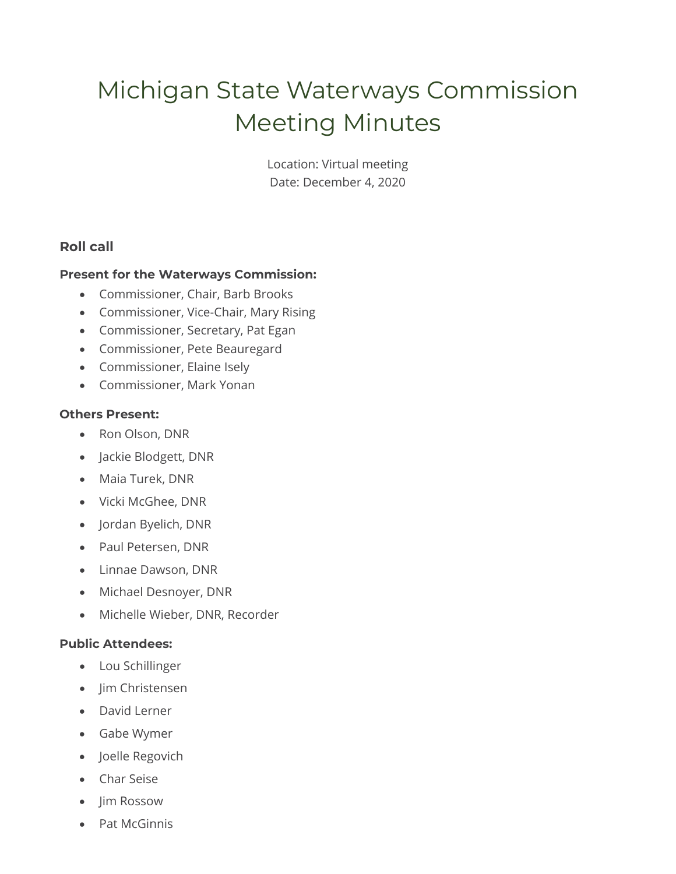# Michigan State Waterways Commission Meeting Minutes

Location: Virtual meeting Date: December 4, 2020

# **Roll call**

### **Present for the Waterways Commission:**

- Commissioner, Chair, Barb Brooks
- Commissioner, Vice-Chair, Mary Rising
- Commissioner, Secretary, Pat Egan
- Commissioner, Pete Beauregard
- Commissioner, Elaine Isely
- Commissioner, Mark Yonan

### **Others Present:**

- Ron Olson, DNR
- Jackie Blodgett, DNR
- Maia Turek, DNR
- Vicki McGhee, DNR
- Jordan Byelich, DNR
- Paul Petersen, DNR
- Linnae Dawson, DNR
- Michael Desnoyer, DNR
- Michelle Wieber, DNR, Recorder

## **Public Attendees:**

- Lou Schillinger
- Jim Christensen
- David Lerner
- Gabe Wymer
- Joelle Regovich
- Char Seise
- Jim Rossow
- Pat McGinnis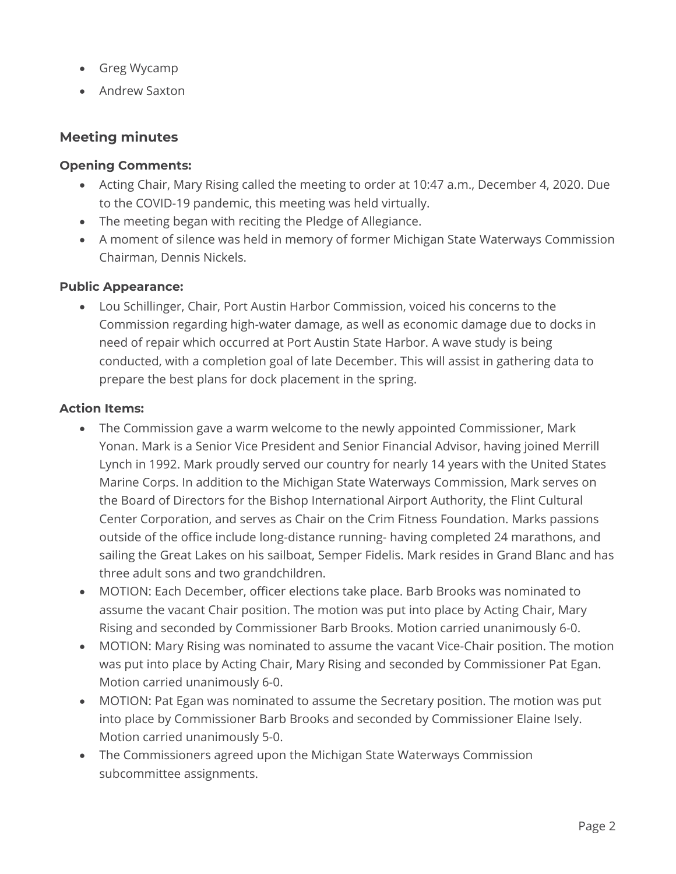- Greg Wycamp
- Andrew Saxton

# **Meeting minutes**

### **Opening Comments:**

- Acting Chair, Mary Rising called the meeting to order at 10:47 a.m., December 4, 2020. Due to the COVID-19 pandemic, this meeting was held virtually.
- The meeting began with reciting the Pledge of Allegiance.
- A moment of silence was held in memory of former Michigan State Waterways Commission Chairman, Dennis Nickels.

### **Public Appearance:**

• Lou Schillinger, Chair, Port Austin Harbor Commission, voiced his concerns to the Commission regarding high-water damage, as well as economic damage due to docks in need of repair which occurred at Port Austin State Harbor. A wave study is being conducted, with a completion goal of late December. This will assist in gathering data to prepare the best plans for dock placement in the spring.

### **Action Items:**

- The Commission gave a warm welcome to the newly appointed Commissioner, Mark Yonan. Mark is a Senior Vice President and Senior Financial Advisor, having joined Merrill Lynch in 1992. Mark proudly served our country for nearly 14 years with the United States Marine Corps. In addition to the Michigan State Waterways Commission, Mark serves on the Board of Directors for the Bishop International Airport Authority, the Flint Cultural Center Corporation, and serves as Chair on the Crim Fitness Foundation. Marks passions outside of the office include long-distance running- having completed 24 marathons, and sailing the Great Lakes on his sailboat, Semper Fidelis. Mark resides in Grand Blanc and has three adult sons and two grandchildren.
- MOTION: Each December, officer elections take place. Barb Brooks was nominated to assume the vacant Chair position. The motion was put into place by Acting Chair, Mary Rising and seconded by Commissioner Barb Brooks. Motion carried unanimously 6-0.
- MOTION: Mary Rising was nominated to assume the vacant Vice-Chair position. The motion was put into place by Acting Chair, Mary Rising and seconded by Commissioner Pat Egan. Motion carried unanimously 6-0.
- MOTION: Pat Egan was nominated to assume the Secretary position. The motion was put into place by Commissioner Barb Brooks and seconded by Commissioner Elaine Isely. Motion carried unanimously 5-0.
- The Commissioners agreed upon the Michigan State Waterways Commission subcommittee assignments.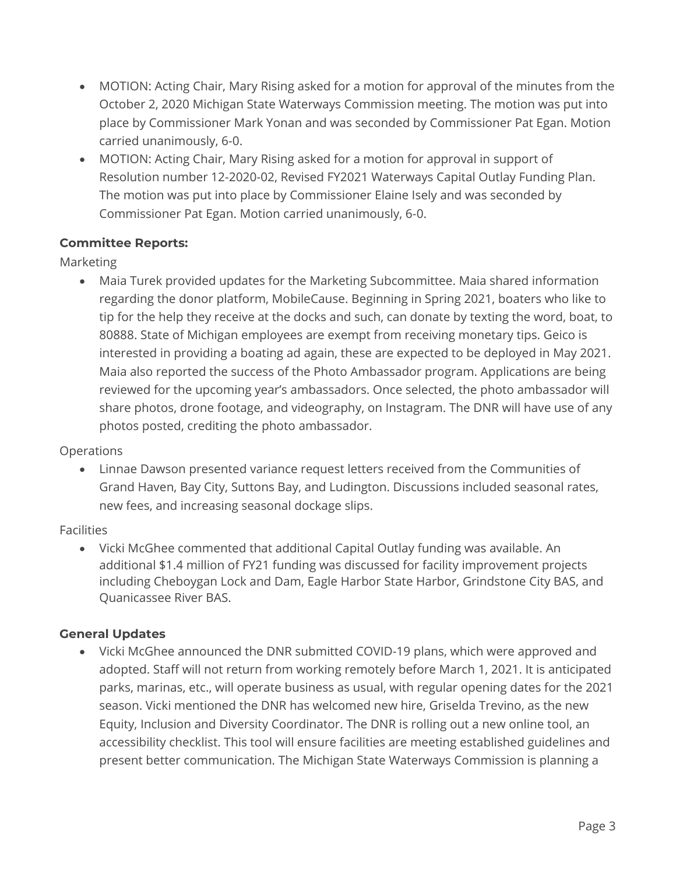- MOTION: Acting Chair, Mary Rising asked for a motion for approval of the minutes from the October 2, 2020 Michigan State Waterways Commission meeting. The motion was put into place by Commissioner Mark Yonan and was seconded by Commissioner Pat Egan. Motion carried unanimously, 6-0.
- MOTION: Acting Chair, Mary Rising asked for a motion for approval in support of Resolution number 12-2020-02, Revised FY2021 Waterways Capital Outlay Funding Plan. The motion was put into place by Commissioner Elaine Isely and was seconded by Commissioner Pat Egan. Motion carried unanimously, 6-0.

# **Committee Reports:**

Marketing

• Maia Turek provided updates for the Marketing Subcommittee. Maia shared information regarding the donor platform, MobileCause. Beginning in Spring 2021, boaters who like to tip for the help they receive at the docks and such, can donate by texting the word, boat, to 80888. State of Michigan employees are exempt from receiving monetary tips. Geico is interested in providing a boating ad again, these are expected to be deployed in May 2021. Maia also reported the success of the Photo Ambassador program. Applications are being reviewed for the upcoming year's ambassadors. Once selected, the photo ambassador will share photos, drone footage, and videography, on Instagram. The DNR will have use of any photos posted, crediting the photo ambassador.

## Operations

• Linnae Dawson presented variance request letters received from the Communities of Grand Haven, Bay City, Suttons Bay, and Ludington. Discussions included seasonal rates, new fees, and increasing seasonal dockage slips.

## Facilities

• Vicki McGhee commented that additional Capital Outlay funding was available. An additional \$1.4 million of FY21 funding was discussed for facility improvement projects including Cheboygan Lock and Dam, Eagle Harbor State Harbor, Grindstone City BAS, and Quanicassee River BAS.

## **General Updates**

• Vicki McGhee announced the DNR submitted COVID-19 plans, which were approved and adopted. Staff will not return from working remotely before March 1, 2021. It is anticipated parks, marinas, etc., will operate business as usual, with regular opening dates for the 2021 season. Vicki mentioned the DNR has welcomed new hire, Griselda Trevino, as the new Equity, Inclusion and Diversity Coordinator. The DNR is rolling out a new online tool, an accessibility checklist. This tool will ensure facilities are meeting established guidelines and present better communication. The Michigan State Waterways Commission is planning a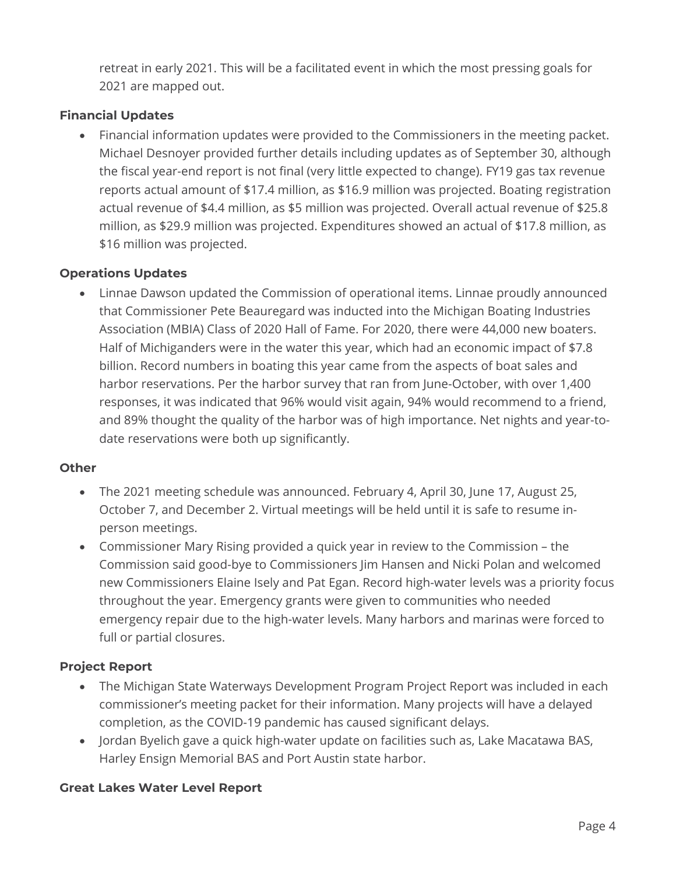retreat in early 2021. This will be a facilitated event in which the most pressing goals for 2021 are mapped out.

# **Financial Updates**

• Financial information updates were provided to the Commissioners in the meeting packet. Michael Desnoyer provided further details including updates as of September 30, although the fiscal year-end report is not final (very little expected to change). FY19 gas tax revenue reports actual amount of \$17.4 million, as \$16.9 million was projected. Boating registration actual revenue of \$4.4 million, as \$5 million was projected. Overall actual revenue of \$25.8 million, as \$29.9 million was projected. Expenditures showed an actual of \$17.8 million, as \$16 million was projected.

# **Operations Updates**

• Linnae Dawson updated the Commission of operational items. Linnae proudly announced that Commissioner Pete Beauregard was inducted into the Michigan Boating Industries Association (MBIA) Class of 2020 Hall of Fame. For 2020, there were 44,000 new boaters. Half of Michiganders were in the water this year, which had an economic impact of \$7.8 billion. Record numbers in boating this year came from the aspects of boat sales and harbor reservations. Per the harbor survey that ran from June-October, with over 1,400 responses, it was indicated that 96% would visit again, 94% would recommend to a friend, and 89% thought the quality of the harbor was of high importance. Net nights and year-todate reservations were both up significantly.

# **Other**

- The 2021 meeting schedule was announced. February 4, April 30, June 17, August 25, October 7, and December 2. Virtual meetings will be held until it is safe to resume inperson meetings.
- Commissioner Mary Rising provided a quick year in review to the Commission the Commission said good-bye to Commissioners Jim Hansen and Nicki Polan and welcomed new Commissioners Elaine Isely and Pat Egan. Record high-water levels was a priority focus throughout the year. Emergency grants were given to communities who needed emergency repair due to the high-water levels. Many harbors and marinas were forced to full or partial closures.

# **Project Report**

- The Michigan State Waterways Development Program Project Report was included in each commissioner's meeting packet for their information. Many projects will have a delayed completion, as the COVID-19 pandemic has caused significant delays.
- Jordan Byelich gave a quick high-water update on facilities such as, Lake Macatawa BAS, Harley Ensign Memorial BAS and Port Austin state harbor.

# **Great Lakes Water Level Report**